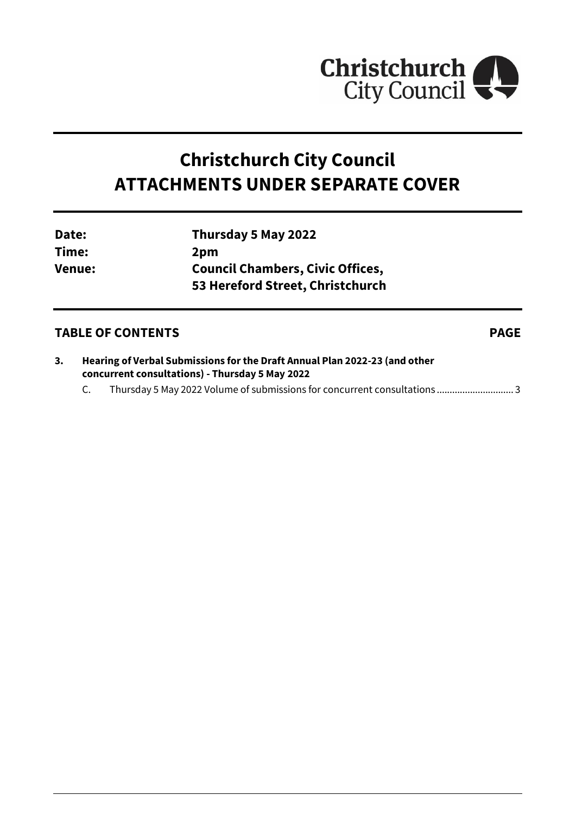

## **Christchurch City Council ATTACHMENTS UNDER SEPARATE COVER**

| Date:  | Thursday 5 May 2022                     |
|--------|-----------------------------------------|
| Time:  | 2pm                                     |
| Venue: | <b>Council Chambers, Civic Offices,</b> |
|        | 53 Hereford Street, Christchurch        |

## **TABLE OF CONTENTS PAGE**

- **3. Hearing of Verbal Submissions for the Draft Annual Plan 2022-23 (and other concurrent consultations) - Thursday 5 May 2022**
	- C. Thursday 5 May 2022 Volume of submissions for concurrent consultations .............................. [3](#page-2-0)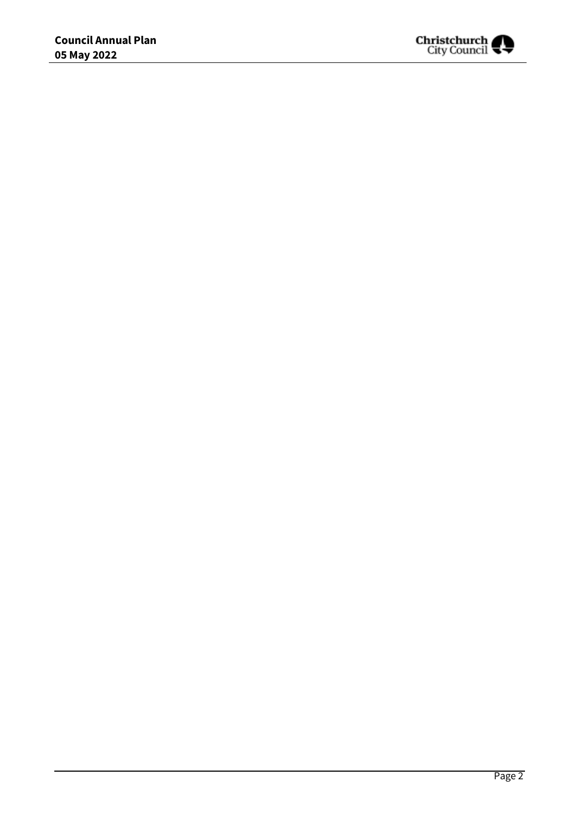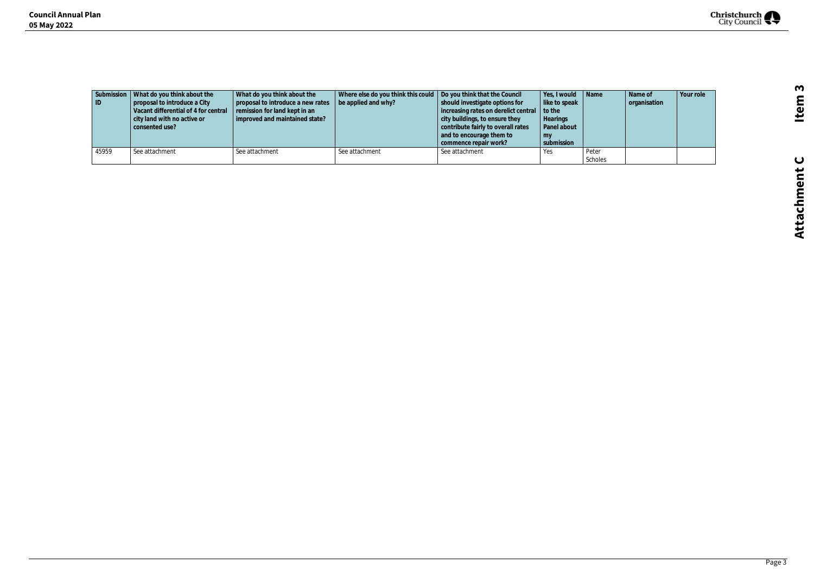<span id="page-2-0"></span>

| Submission               | What do you think about the          | What do you think about the       | Where else do you think this could   Do you think that the Council |                                                     | Yes, I would    | Name    | Name of      | Your role |
|--------------------------|--------------------------------------|-----------------------------------|--------------------------------------------------------------------|-----------------------------------------------------|-----------------|---------|--------------|-----------|
| $\overline{\mathsf{ID}}$ | proposal to introduce a City         | proposal to introduce a new rates | be applied and why?                                                | should investigate options for                      | like to speak   |         | organisation |           |
|                          | Vacant differential of 4 for central | remission for land kept in an     |                                                                    | increasing rates on derelict central $\vert$ to the |                 |         |              |           |
|                          | city land with no active or          | improved and maintained state?    |                                                                    | city buildings, to ensure they                      | <b>Hearings</b> |         |              |           |
|                          | consented use?                       |                                   |                                                                    | contribute fairly to overall rates                  | Panel about     |         |              |           |
|                          |                                      |                                   |                                                                    | and to encourage them to                            | my              |         |              |           |
|                          |                                      |                                   |                                                                    | commence repair work?                               | submission      |         |              |           |
| 45959                    | See attachment                       | See attachment                    | See attachment                                                     | See attachment                                      | Yes             | Peter   |              |           |
|                          |                                      |                                   |                                                                    |                                                     |                 | Scholes |              |           |